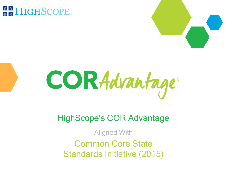# **& & HIGHSCOPE**





## HighScope's COR Advantage

Aligned With Common Core State Standards Initiative (2015)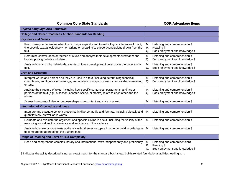| <b>English Language Arts Standards</b>                                                                                                                                                                    |                                                                                                |
|-----------------------------------------------------------------------------------------------------------------------------------------------------------------------------------------------------------|------------------------------------------------------------------------------------------------|
| <b>College and Career Readiness Anchor Standards for Reading</b>                                                                                                                                          |                                                                                                |
| <b>Key Ideas and Details</b>                                                                                                                                                                              |                                                                                                |
| Read closely to determine what the text says explicitly and to make logical inferences from it;<br>cite specific textual evidence when writing or speaking to support conclusions drawn from the<br>text. | M.<br>Listening and comprehension +<br>Ρ.<br>Reading +<br>Q.<br>Book enjoyment and knowledge + |
| Determine central ideas or themes of a text and analyze their development; summarize the<br>key supporting details and ideas.                                                                             | M.<br>Listening and comprehension +<br>Book enjoyment and knowledge +<br>Q.                    |
| Analyze how and why individuals, events, or ideas develop and interact over the course of a<br>text.                                                                                                      | M.<br>Listening and comprehension +<br>Book enjoyment and knowledge +<br>Q.                    |
| <b>Craft and Structure</b>                                                                                                                                                                                |                                                                                                |
| Interpret words and phrases as they are used in a text, including determining technical,<br>connotative, and figurative meanings, and analyze how specific word choices shape meaning<br>or tone.         | M.<br>Listening and comprehension +<br>Book enjoyment and knowledge +<br>Q.                    |
| Analyze the structure of texts, including how specific sentences, paragraphs, and larger<br>portions of the text (e.g., a section, chapter, scene, or stanza) relate to each other and the<br>whole.      | Listening and comprehension +<br>М.<br>Book enjoyment and knowledge +<br>Q.                    |
| Assess how point of view or purpose shapes the content and style of a text.                                                                                                                               | Listening and comprehension +<br>М.                                                            |
| Integration of Knowledge and Ideas                                                                                                                                                                        |                                                                                                |
| Integrate and evaluate content presented in diverse media and formats, including visually and<br>quantitatively, as well as in words.                                                                     | М.<br>Listening and comprehension +                                                            |
| Delineate and evaluate the argument and specific claims in a text, including the validity of the<br>reasoning as well as the relevance and sufficiency of the evidence.                                   | Μ.<br>Listening and comprehension +                                                            |
| Analyze how two or more texts address similar themes or topics in order to build knowledge or<br>to compare the approaches the authors take.                                                              | M.<br>Listening and comprehension +                                                            |
| <b>Range of Reading and Level of Text Complexity:</b>                                                                                                                                                     |                                                                                                |
| Read and comprehend complex literary and informational texts independently and proficiently.                                                                                                              | M.<br>Listening and comprehension†<br>Ρ.<br>Reading +<br>Q.<br>Book enjoyment and knowledge +  |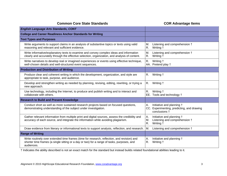| <b>English Language Arts Standards, CONT</b>                                                                                                                                                            |                                                                                                |
|---------------------------------------------------------------------------------------------------------------------------------------------------------------------------------------------------------|------------------------------------------------------------------------------------------------|
| <b>College and Career Readiness Anchor Standards for Writing</b>                                                                                                                                        |                                                                                                |
| <b>Text Types and Purposes</b>                                                                                                                                                                          |                                                                                                |
| Write arguments to support claims in an analysis of substantive topics or texts using valid<br>reasoning and relevant and sufficient evidence.                                                          | M.<br>Listening and comprehension +<br>R.<br>Writing †                                         |
| Write informative/explanatory texts to examine and convey complex ideas and information<br>clearly and accurately through the effective selection, organization, and analysis of content.               | M.<br>Listening and comprehension +<br>R.<br>Writing +                                         |
| Write narratives to develop real or imagined experiences or events using effective technique,<br>well-chosen details and well-structured event sequences.                                               | R.<br>Writing +<br>AA. Pretend play +                                                          |
| <b>Production and Distribution of Writing</b>                                                                                                                                                           |                                                                                                |
| Produce clear and coherent writing in which the development, organization, and style are<br>appropriate to task, purpose, and audience.                                                                 | R.<br>Writing †                                                                                |
| Develop and strengthen writing as needed by planning, revising, editing, rewriting, or trying a<br>new approach.                                                                                        | R.<br>Writing †                                                                                |
| Use technology, including the Internet, to produce and publish writing and to interact and<br>collaborate with others.                                                                                  | R.<br>Writing †<br>EE. Tools and technology +                                                  |
| <b>Research to Build and Present Knowledge</b>                                                                                                                                                          |                                                                                                |
| Conduct short as well as more sustained research projects based on focused questions,<br>demonstrating understanding of the subject under investigation.                                                | Initiative and planning t<br>Α.<br>CC. Experimenting, predicting, and drawing<br>conclusions + |
| Gather relevant information from multiple print and digital sources, assess the credibility and<br>accuracy of each source, and integrate the information while avoiding plagiarism.                    | Initiative and planning t<br>Α.<br>M.<br>Listening and comprehension +<br>R.<br>Writing †      |
| Draw evidence from literary or informational texts to support analysis, reflection, and research.                                                                                                       | M.<br>Listening and comprehension +                                                            |
| <b>Range of Writing</b>                                                                                                                                                                                 |                                                                                                |
| Write routinely over extended time frames (time for research, reflection, and revision) and<br>shorter time frames (a single sitting or a day or two) for a range of tasks, purposes, and<br>audiences. | Α.<br>Initiative and planning †<br>R.<br>Writing †                                             |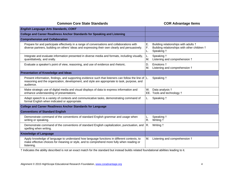| <b>English Language Arts Standards, CONT</b>                                                                                                                                                                      |                |                                                                                                    |
|-------------------------------------------------------------------------------------------------------------------------------------------------------------------------------------------------------------------|----------------|----------------------------------------------------------------------------------------------------|
| <b>College and Career Readiness Anchor Standards for Speaking and Listening</b>                                                                                                                                   |                |                                                                                                    |
| <b>Comprehension and Collaboration</b>                                                                                                                                                                            |                |                                                                                                    |
| Prepare for and participate effectively in a range of conversations and collaborations with<br>diverse partners, building on others' ideas and expressing their own clearly and persuasively.                     | Ε.<br>F.<br>L. | Building relationships with adults †<br>Building relationships with other children †<br>Speaking + |
| Integrate and evaluate information presented in diverse media and formats, including visually,<br>quantitatively, and orally.                                                                                     | М.             | Speaking +<br>Listening and comprehension +                                                        |
| Evaluate a speaker's point of view, reasoning, and use of evidence and rhetoric.                                                                                                                                  | D.<br>М.       | Emotions +<br>Listening and comprehension +                                                        |
| <b>Presentation of Knowledge and Ideas</b>                                                                                                                                                                        |                |                                                                                                    |
| Present information, findings, and supporting evidence such that listeners can follow the line of L.<br>reasoning and the organization, development, and style are appropriate to task, purpose, and<br>audience. |                | Speaking +                                                                                         |
| Make strategic use of digital media and visual displays of data to express information and<br>enhance understanding of presentations.                                                                             | W.             | Data analysis +<br>EE. Tools and technology +                                                      |
| Adapt speech to a variety of contexts and communicative tasks, demonstrating command of<br>formal English when indicated or appropriate.                                                                          | L.             | Speaking +                                                                                         |
| <b>College and Career Readiness Anchor Standards for Language</b>                                                                                                                                                 |                |                                                                                                    |
| <b>Conventions of Standard English</b>                                                                                                                                                                            |                |                                                                                                    |
| Demonstrate command of the conventions of standard English grammar and usage when<br>writing or speaking.                                                                                                         | L.<br>R.       | Speaking †<br>Writing +                                                                            |
| Demonstrate command of the conventions of standard English capitalization, punctuation, and<br>spelling when writing.                                                                                             | R.             | Writing †                                                                                          |
| <b>Knowledge of Language</b>                                                                                                                                                                                      |                |                                                                                                    |
| Apply knowledge of language to understand how language functions in different contexts, to<br>make effective choices for meaning or style, and to comprehend more fully when reading or<br>listening.             | М.             | Listening and comprehension +                                                                      |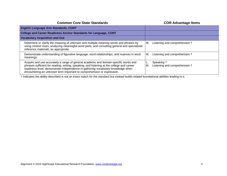| <b>English Language Arts Standards, CONT</b>                                                                                                                                                                                                                                                                                                     |                                                   |
|--------------------------------------------------------------------------------------------------------------------------------------------------------------------------------------------------------------------------------------------------------------------------------------------------------------------------------------------------|---------------------------------------------------|
| <b>College and Career Readiness Anchor Standards for Language, CONT</b>                                                                                                                                                                                                                                                                          |                                                   |
| <b>Vocabulary Acquisition and Use</b>                                                                                                                                                                                                                                                                                                            |                                                   |
| Determine or clarify the meaning of unknown and multiple-meaning words and phrases by<br>using context clues, analyzing meaningful word parts, and consulting general and specialized<br>reference materials, as appropriate.                                                                                                                    | Listening and comprehension †<br>M.               |
| Demonstrate understanding of figurative language, word relationships, and nuances in word<br>meanings.                                                                                                                                                                                                                                           | Listening and comprehension †<br>IM.              |
| Acquire and use accurately a range of general academic and domain-specific words and<br>phrases sufficient for reading, writing, speaking, and listening at the college and career<br>readiness level; demonstrate independence in gathering vocabulary knowledge when<br>encountering an unknown term important to comprehension or expression. | Speaking †<br>Listening and comprehension +<br>M. |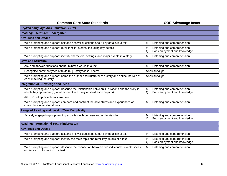| <b>English Language Arts Standards, CONT</b>                                                                                                                              |                                                                         |
|---------------------------------------------------------------------------------------------------------------------------------------------------------------------------|-------------------------------------------------------------------------|
| <b>Reading: Literature: Kindergarten</b>                                                                                                                                  |                                                                         |
| <b>Key Ideas and Details</b>                                                                                                                                              |                                                                         |
| With prompting and support, ask and answer questions about key details in a text.                                                                                         | Listening and comprehension<br>М.                                       |
| With prompting and support, retell familiar stories, including key details.                                                                                               | Listening and comprehension<br>М.<br>Book enjoyment and knowledge<br>Q. |
| With prompting and support, identify characters, settings, and major events in a story.                                                                                   | Listening and comprehension<br>М.                                       |
| <b>Craft and Structure</b>                                                                                                                                                |                                                                         |
| Ask and answer questions about unknown words in a text.                                                                                                                   | Listening and comprehension<br>М.                                       |
| Recognize common types of texts (e.g., storybooks, poems).                                                                                                                | Does not align                                                          |
| With prompting and support, name the author and illustrator of a story and define the role of<br>each in telling the story.                                               | Does not align                                                          |
| Integration of Knowledge and Ideas                                                                                                                                        |                                                                         |
| With prompting and support, describe the relationship between illustrations and the story in<br>which they appear (e.g., what moment in a story an illustration depicts). | M.<br>Listening and comprehension<br>Book enjoyment and knowledge<br>Q. |
| (RL.K.8 not applicable to literature)                                                                                                                                     |                                                                         |
| With prompting and support, compare and contrast the adventures and experiences of<br>characters in familiar stories.                                                     | Listening and comprehension<br>М.                                       |
| <b>Range of Reading and Level of Text Complexity</b>                                                                                                                      |                                                                         |
| Actively engage in group reading activities with purpose and understanding.                                                                                               | Listening and comprehension<br>Μ.<br>Book enjoyment and knowledge<br>Q. |
| Reading: Informational Text: Kindergarten                                                                                                                                 |                                                                         |
| <b>Key Ideas and Details</b>                                                                                                                                              |                                                                         |
| With prompting and support, ask and answer questions about key details in a text.                                                                                         | Listening and comprehension<br>M.                                       |
| With prompting and support, identify the main topic and retell key details of a text.                                                                                     | Listening and comprehension<br>М.<br>Book enjoyment and knowledge<br>Q. |
| With prompting and support, describe the connection between two individuals, events, ideas,<br>or pieces of information in a text.                                        | M.<br>Listening and comprehension                                       |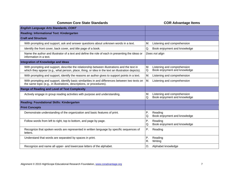| <b>English Language Arts Standards, CONT</b>                                                                                                                                                     |                                                                         |
|--------------------------------------------------------------------------------------------------------------------------------------------------------------------------------------------------|-------------------------------------------------------------------------|
| Reading: Informational Text: Kindergarten                                                                                                                                                        |                                                                         |
| <b>Craft and Structure</b>                                                                                                                                                                       |                                                                         |
| With prompting and support, ask and answer questions about unknown words in a text.                                                                                                              | Listening and comprehension<br>М.                                       |
| Identify the front cover, back cover, and title page of a book.                                                                                                                                  | Q.<br>Book enjoyment and knowledge                                      |
| Name the author and illustrator of a text and define the role of each in presenting the ideas or<br>information in a text.                                                                       | Does not align                                                          |
| <b>Integration of Knowledge and Ideas</b>                                                                                                                                                        |                                                                         |
| With prompting and support, describe the relationship between illustrations and the text in<br>which they appear (e.g., what person, place, thing, or idea in the text an illustration depicts). | M.<br>Listening and comprehension<br>Book enjoyment and knowledge<br>Q. |
| With prompting and support, identify the reasons an author gives to support points in a text.                                                                                                    | M.<br>Listening and comprehension                                       |
| With prompting and support, identify basic similarities in and differences between two texts on<br>the same topic (e.g., in illustrations, descriptions, or procedures).                         | M.<br>Listening and comprehension                                       |
| <b>Range of Reading and Level of Text Complexity</b>                                                                                                                                             |                                                                         |
| Actively engage in group reading activities with purpose and understanding.                                                                                                                      | Listening and comprehension<br>M.<br>Book enjoyment and knowledge<br>Q. |
| <b>Reading: Foundational Skills: Kindergarten</b>                                                                                                                                                |                                                                         |
| <b>Print Concepts</b>                                                                                                                                                                            |                                                                         |
| Demonstrate understanding of the organization and basic features of print.                                                                                                                       | P.<br>Reading<br>Q.<br>Book enjoyment and knowledge                     |
| Follow words from left to right, top to bottom, and page by page.                                                                                                                                | P.<br>Reading<br>Q.<br>Book enjoyment and knowledge                     |
| Recognize that spoken words are represented in written language by specific sequences of<br>letters.                                                                                             | Ρ.<br>Reading                                                           |
| Understand that words are separated by spaces in print.                                                                                                                                          | Ρ.<br>Reading<br>R.<br>Writing                                          |
| Recognize and name all upper- and lowercase letters of the alphabet.                                                                                                                             | О.<br>Alphabet knowledge                                                |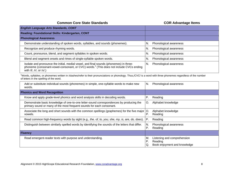| <b>English Language Arts Standards, CONT</b>                                                                                                                                                                                     |                                                                                          |  |
|----------------------------------------------------------------------------------------------------------------------------------------------------------------------------------------------------------------------------------|------------------------------------------------------------------------------------------|--|
| Reading: Foundational Skills: Kindergarten, CONT                                                                                                                                                                                 |                                                                                          |  |
| <b>Phonological Awareness</b>                                                                                                                                                                                                    |                                                                                          |  |
| Demonstrate understanding of spoken words, syllables, and sounds (phonemes).                                                                                                                                                     | N.<br>Phonological awareness                                                             |  |
| Recognize and produce rhyming words.                                                                                                                                                                                             | Phonological awareness<br>N.                                                             |  |
| Count, pronounce, blend, and segment syllables in spoken words.                                                                                                                                                                  | N.<br>Phonological awareness                                                             |  |
| Blend and segment onsets and rimes of single-syllable spoken words.                                                                                                                                                              | N.<br>Phonological awareness                                                             |  |
| Isolate and pronounce the initial, medial vowel, and final sounds (phonemes) in three-<br>phoneme (consonant-vowel-consonant, or CVC) words. <sup>1</sup> (This does not include CVCs ending<br>with $/I/$ , $/I/$ , or $/X/$ .) | N.<br>Phonological awareness                                                             |  |
| Words, syllables, or phonemes written in /slashes/refer to their pronunciations or phonology. Thus,/CVC/ is a word with three phonemes regardless of the number<br>of letters in the spelling of the word.                       |                                                                                          |  |
| Add or substitute individual sounds (phonemes) in simple, one-syllable words to make new<br>words.                                                                                                                               | N.<br>Phonological awareness                                                             |  |
| <b>Phonics and Word Recognition</b>                                                                                                                                                                                              |                                                                                          |  |
| Know and apply grade-level phonics and word analysis skills in decoding words.                                                                                                                                                   | Ρ.<br>Reading                                                                            |  |
| Demonstrate basic knowledge of one-to-one letter-sound correspondences by producing the<br>primary sound or many of the most frequent sounds for each consonant.                                                                 | Alphabet knowledge<br>O.                                                                 |  |
| Associate the long and short sounds with the common spellings (graphemes) for the five major<br>vowels.                                                                                                                          | O.<br>Alphabet knowledge<br>Ρ.<br>Reading                                                |  |
| Read common high-frequency words by sight (e.g., the, of, to, you, she, my, is, are, do, does).                                                                                                                                  | P.<br>Reading                                                                            |  |
| Distinguish between similarly spelled words by identifying the sounds of the letters that differ.                                                                                                                                | N.<br>Phonological awareness<br>Ρ.<br>Reading                                            |  |
| Fluency                                                                                                                                                                                                                          |                                                                                          |  |
| Read emergent-reader texts with purpose and understanding.                                                                                                                                                                       | Listening and comprehension<br>М.<br>P.<br>Reading<br>Q.<br>Book enjoyment and knowledge |  |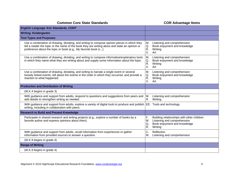| <b>English Language Arts Standards, CONT</b>                                                                                                                                                                                                                      |                                                                                                                                              |
|-------------------------------------------------------------------------------------------------------------------------------------------------------------------------------------------------------------------------------------------------------------------|----------------------------------------------------------------------------------------------------------------------------------------------|
| <b>Writing: Kindergarten</b>                                                                                                                                                                                                                                      |                                                                                                                                              |
| <b>Text Types and Purposes</b>                                                                                                                                                                                                                                    |                                                                                                                                              |
| Use a combination of drawing, dictating, and writing to compose opinion pieces in which they<br>tell a reader the topic or the name of the book they are writing about and state an opinion or<br>preference about the topic or book (e.g., My favorite book is). | Μ.<br>Listening and comprehension<br>Q.<br>Book enjoyment and knowledge<br>R.<br>Writing<br>Χ.<br>Art                                        |
| Use a combination of drawing, dictating, and writing to compose informative/explanatory texts<br>in which they name what they are writing about and supply some information about the topic.                                                                      | M.<br>Listening and comprehension<br>Q.<br>Book enjoyment and knowledge<br>R.<br>Writing<br>Χ.<br>Art                                        |
| Use a combination of drawing, dictating, and writing to narrate a single event or several<br>loosely linked events, tell about the events in the order in which they occurred, and provide a<br>reaction to what happened.                                        | M.<br>Listening and comprehension<br>Book enjoyment and knowledge<br>Q.<br>R.<br>Writing<br>Χ.<br>Art                                        |
| <b>Production and Distribution of Writing</b>                                                                                                                                                                                                                     |                                                                                                                                              |
| (W.K.4 begins in grade 3)                                                                                                                                                                                                                                         |                                                                                                                                              |
| With guidance and support from adults, respond to questions and suggestions from peers and<br>add details to strengthen writing as needed.                                                                                                                        | М.<br>Listening and comprehension<br>R.<br>Writing                                                                                           |
| With guidance and support from adults, explore a variety of digital tools to produce and publish<br>writing, including in collaboration with peers.                                                                                                               | EE. Tools and technology                                                                                                                     |
| <b>Research to Build and Present Knowledge</b>                                                                                                                                                                                                                    |                                                                                                                                              |
| Participate in shared research and writing projects (e.g., explore a number of books by a<br>favorite author and express opinions about them).                                                                                                                    | F.<br>Building relationships with other children<br>М.<br>Listening and comprehension<br>Book enjoyment and knowledge<br>Q.<br>R.<br>Writing |
| With guidance and support from adults, recall information from experiences or gather<br>information from provided sources to answer a question.                                                                                                                   | C.<br>Reflection<br>M.<br>Listening and comprehension                                                                                        |
| (W.K.9 begins in grade 4)                                                                                                                                                                                                                                         |                                                                                                                                              |
| <b>Range of Writing</b>                                                                                                                                                                                                                                           |                                                                                                                                              |
| (W.K.9 begins in grade 4)                                                                                                                                                                                                                                         |                                                                                                                                              |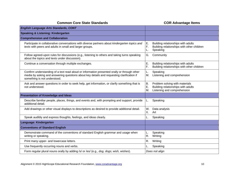| <b>English Language Arts Standards, CONT</b>                                                                                                                                                                             |                                                                                                                              |
|--------------------------------------------------------------------------------------------------------------------------------------------------------------------------------------------------------------------------|------------------------------------------------------------------------------------------------------------------------------|
| <b>Speaking &amp; Listening: Kindergarten</b>                                                                                                                                                                            |                                                                                                                              |
| <b>Comprehension and Collaboration</b>                                                                                                                                                                                   |                                                                                                                              |
| Participate in collaborative conversations with diverse partners about kindergarten topics and<br>texts with peers and adults in small and larger groups.                                                                | Ε.<br>Building relationships with adults<br>F.<br>Building relationships with other children<br>Speaking<br>L.               |
| Follow agreed-upon rules for discussions (e.g., listening to others and taking turns speaking<br>about the topics and texts under discussion).                                                                           | G.<br>Community                                                                                                              |
| Continue a conversation through multiple exchanges.                                                                                                                                                                      | E.<br>Building relationships with adults<br>F.<br>Building relationships with other children                                 |
| Confirm understanding of a text read aloud or information presented orally or through other<br>media by asking and answering questions about key details and requesting clarification if<br>something is not understood. | Speaking<br>L.<br>Listening and comprehension<br>Μ.                                                                          |
| Ask and answer questions in order to seek help, get information, or clarify something that is<br>not understood.                                                                                                         | <b>B.</b><br>Problem solving with materials<br>Ε.<br>Building relationships with adults<br>Μ.<br>Listening and comprehension |
| <b>Presentation of Knowledge and Ideas</b>                                                                                                                                                                               |                                                                                                                              |
| Describe familiar people, places, things, and events and, with prompting and support, provide<br>additional detail.                                                                                                      | Speaking<br>L.                                                                                                               |
| Add drawings or other visual displays to descriptions as desired to provide additional detail.                                                                                                                           | W.<br>Data analysis<br>Χ.<br>Art                                                                                             |
| Speak audibly and express thoughts, feelings, and ideas clearly.                                                                                                                                                         | Speaking                                                                                                                     |
| Language: Kindergarten                                                                                                                                                                                                   |                                                                                                                              |
| <b>Conventions of Standard English</b>                                                                                                                                                                                   |                                                                                                                              |
| Demonstrate command of the conventions of standard English grammar and usage when<br>writing or speaking.                                                                                                                | Speaking<br>L.<br>R.<br>Writing                                                                                              |
| Print many upper- and lowercase letters.                                                                                                                                                                                 | R.<br>Writing                                                                                                                |
| Use frequently occurring nouns and verbs.                                                                                                                                                                                | Speaking                                                                                                                     |
| Form regular plural nouns orally by adding /s/ or /es/ (e.g., dog, dogs; wish, wishes).                                                                                                                                  | Does not align                                                                                                               |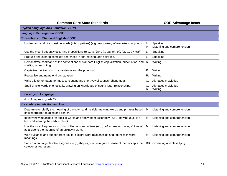| <b>English Language Arts Standards, CONT</b>                                                                                                           |                                                     |
|--------------------------------------------------------------------------------------------------------------------------------------------------------|-----------------------------------------------------|
| Language: Kindergarten, CONT                                                                                                                           |                                                     |
| <b>Conventions of Standard English, CONT</b>                                                                                                           |                                                     |
| Understand and use question words (interrogatives) (e.g., who, what, where, when, why, how).                                                           | Speaking<br>L.<br>Μ.<br>Listening and comprehension |
| Use the most frequently occurring prepositions (e.g., to, from, in, out, on, off, for, of, by, with).                                                  | Speaking<br>L.                                      |
| Produce and expand complete sentences in shared language activities.                                                                                   | Speaking<br>L.                                      |
| Demonstrate command of the conventions of standard English capitalization, punctuation, and<br>spelling when writing.                                  | Writing<br>R.                                       |
| Capitalize the first word in a sentence and the pronoun I                                                                                              | R.<br>Writing                                       |
| Recognize and name end punctuation.                                                                                                                    | R.<br>Writing                                       |
| Write a letter or letters for most consonant and short-vowel sounds (phonemes).                                                                        | Alphabet knowledge<br>О.                            |
| Spell simple words phonetically, drawing on knowledge of sound-letter relationships.                                                                   | O.<br>Alphabet knowledge<br>R.<br>Writing           |
| <b>Knowledge of Language</b>                                                                                                                           |                                                     |
| (L.K.3 begins in grade 2)                                                                                                                              |                                                     |
| <b>Vocabulary Acquisition and Use</b>                                                                                                                  |                                                     |
| Determine or clarify the meaning of unknown and multiple-meaning words and phrases based<br>on kindergarten reading and content.                       | Listening and comprehension<br>М.                   |
| Identify new meanings for familiar words and apply them accurately (e.g., knowing duck is a<br>bird and learning the verb to duck).                    | М.<br>Listening and comprehension                   |
| Use the most frequently occurring inflections and affixes (e.g., -ed, -s, re-, un-, pre-, -ful, -less)<br>as a clue to the meaning of an unknown word. | Μ.<br>Listening and comprehension                   |
| With guidance and support from adults, explore word relationships and nuances in word<br>meanings.                                                     | Μ.<br>Listening and comprehension                   |
| Sort common objects into categories (e.g., shapes, foods) to gain a sense of the concepts the<br>categories represent.                                 | BB. Observing and classifying                       |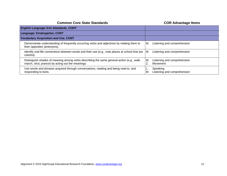| <b>English Language Arts Standards, CONT</b>                                                                                                   |                                                |
|------------------------------------------------------------------------------------------------------------------------------------------------|------------------------------------------------|
| Language: Kindergarten, CONT                                                                                                                   |                                                |
| <b>Vocabulary Acquisition and Use, CONT</b>                                                                                                    |                                                |
| Demonstrate understanding of frequently occurring verbs and adjectives by relating them to<br>their opposites (antonyms).                      | Listening and comprehension<br>M.              |
| Identify real-life connections between words and their use (e.g., note places at school that are<br>colorful).                                 | Listening and comprehension<br>М.              |
| Distinguish shades of meaning among verbs describing the same general action (e.g., walk,<br>march, strut, prance) by acting out the meanings. | Listening and comprehension<br>IM.<br>Movement |
| Use words and phrases acquired through conversations, reading and being read to, and<br>responding to texts.                                   | Speaking<br>Listening and comprehension<br>М.  |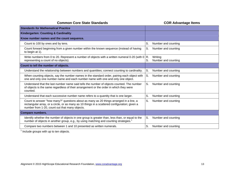**COR Advantage Items** 

| <b>Standards for Mathematical Practice</b>                                                                                                                                                                                                |                                      |
|-------------------------------------------------------------------------------------------------------------------------------------------------------------------------------------------------------------------------------------------|--------------------------------------|
| <b>Kindergarten: Counting &amp; Cardinality</b>                                                                                                                                                                                           |                                      |
| Know number names and the count sequence.                                                                                                                                                                                                 |                                      |
| Count to 100 by ones and by tens.                                                                                                                                                                                                         | S.<br>Number and counting            |
| Count forward beginning from a given number within the known sequence (instead of having<br>to begin at 1).                                                                                                                               | S.<br>Number and counting            |
| Write numbers from 0 to 20. Represent a number of objects with a written numeral 0-20 (with $0 \mid R$ .<br>representing a count of no objects).                                                                                          | Writing<br>S.<br>Number and counting |
| Count to tell the number of objects.                                                                                                                                                                                                      |                                      |
| Understand the relationship between numbers and quantities; connect counting to cardinality.                                                                                                                                              | S.<br>Number and counting            |
| When counting objects, say the number names in the standard order, pairing each object with<br>one and only one number name and each number name with one and only one object.                                                            | S.<br>Number and counting            |
| Understand that the last number name said tells the number of objects counted. The number<br>of objects is the same regardless of their arrangement or the order in which they were<br>counted.                                           | S.<br>Number and counting            |
| Understand that each successive number name refers to a quantity that is one larger.                                                                                                                                                      | S.<br>Number and counting            |
| Count to answer "how many?" questions about as many as 20 things arranged in a line, a<br>rectangular array, or a circle, or as many as 10 things in a scattered configuration; given a<br>number from 1-20, count out that many objects. | S.<br>Number and counting            |
| <b>Compare numbers.</b>                                                                                                                                                                                                                   |                                      |
| Identify whether the number of objects in one group is greater than, less than, or equal to the<br>number of objects in another group, e.g., by using matching and counting strategies. <sup>1</sup>                                      | S.<br>Number and counting            |
| Compare two numbers between 1 and 10 presented as written numerals.                                                                                                                                                                       | S.<br>Number and counting            |

 $\frac{1}{1}$  Include groups with up to ten objects.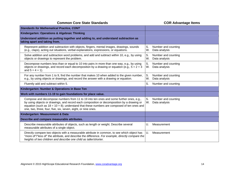| <b>Standards for Mathematical Practice, CONT</b>                                                                                                                                                                                                                                                                                                       |                                                  |
|--------------------------------------------------------------------------------------------------------------------------------------------------------------------------------------------------------------------------------------------------------------------------------------------------------------------------------------------------------|--------------------------------------------------|
| Kindergarten: Operations & Algebraic Thinking                                                                                                                                                                                                                                                                                                          |                                                  |
| Understand addition as putting together and adding to, and understand subtraction as<br>taking apart and taking from.                                                                                                                                                                                                                                  |                                                  |
| Represent addition and subtraction with objects, fingers, mental images, drawings, sounds<br>(e.g., claps), acting out situations, verbal explanations, expressions, or equations.                                                                                                                                                                     | S.<br>Number and counting<br>W.<br>Data analysis |
| Solve addition and subtraction word problems, and add and subtract within 10, e.g., by using<br>objects or drawings to represent the problem.                                                                                                                                                                                                          | S.<br>Number and counting<br>W.<br>Data analysis |
| Decompose numbers less than or equal to 10 into pairs in more than one way, e.g., by using<br>objects or drawings, and record each decomposition by a drawing or equation (e.g., $5 = 2 + 3$<br>and $5 = 4 + 1$ ).                                                                                                                                     | S.<br>Number and counting<br>W.<br>Data analysis |
| For any number from 1 to 9, find the number that makes 10 when added to the given number,<br>e.g., by using objects or drawings, and record the answer with a drawing or equation.                                                                                                                                                                     | S.<br>Number and counting<br>W.<br>Data analysis |
| Fluently add and subtract within 5.                                                                                                                                                                                                                                                                                                                    | S.<br>Number and counting                        |
| Kindergarten: Number & Operations in Base Ten                                                                                                                                                                                                                                                                                                          |                                                  |
| Work with numbers 11-19 to gain foundations for place value.                                                                                                                                                                                                                                                                                           |                                                  |
| Compose and decompose numbers from 11 to 19 into ten ones and some further ones, e.g.,<br>by using objects or drawings, and record each composition or decomposition by a drawing or<br>equation (such as $18 = 10 + 8$ ); understand that these numbers are composed of ten ones and<br>one, two, three, four, five, six, seven, eight, or nine ones. | S.<br>Number and counting<br>W.<br>Data analysis |
| Kindergarten: Measurement & Data                                                                                                                                                                                                                                                                                                                       |                                                  |
| Describe and compare measurable attributes.                                                                                                                                                                                                                                                                                                            |                                                  |
| Describe measurable attributes of objects, such as length or weight. Describe several<br>measurable attributes of a single object.                                                                                                                                                                                                                     | Measurement<br>U.                                |
| Directly compare two objects with a measurable attribute in common, to see which object has<br>"more of"/"less of" the attribute, and describe the difference. For example, directly compare the<br>heights of two children and describe one child as taller/shorter.                                                                                  | U.<br>Measurement                                |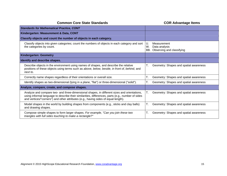| <b>Common Core State Standards</b>                                                                                                                                                                                                                                                     | <b>COR Advantage Items</b>                                                   |
|----------------------------------------------------------------------------------------------------------------------------------------------------------------------------------------------------------------------------------------------------------------------------------------|------------------------------------------------------------------------------|
| <b>Standards for Mathematical Practice, CONT</b>                                                                                                                                                                                                                                       |                                                                              |
| Kindergarten: Measurement & Data, CONT                                                                                                                                                                                                                                                 |                                                                              |
| Classify objects and count the number of objects in each category.                                                                                                                                                                                                                     |                                                                              |
| Classify objects into given categories; count the numbers of objects in each category and sort<br>the categories by count.                                                                                                                                                             | U.<br>Measurement<br>W.<br>Data analysis<br>BB.<br>Observing and classifying |
| Kindergarten: Geometry                                                                                                                                                                                                                                                                 |                                                                              |
| Identify and describe shapes.                                                                                                                                                                                                                                                          |                                                                              |
| Describe objects in the environment using names of shapes, and describe the relative<br>positions of these objects using terms such as above, below, beside, in front of, behind, and<br>next to.                                                                                      | Τ.<br>Geometry: Shapes and spatial awareness                                 |
| Correctly name shapes regardless of their orientations or overall size.                                                                                                                                                                                                                | Geometry: Shapes and spatial awareness<br>Τ.                                 |
| Identify shapes as two-dimensional (lying in a plane, "flat") or three-dimensional ("solid").                                                                                                                                                                                          | Τ.<br>Geometry: Shapes and spatial awareness                                 |
| Analyze, compare, create, and compose shapes.                                                                                                                                                                                                                                          |                                                                              |
| Analyze and compare two- and three-dimensional shapes, in different sizes and orientations,<br>using informal language to describe their similarities, differences, parts (e.g., number of sides<br>and vertices/"corners") and other attributes (e.g., having sides of equal length). | Τ.<br>Geometry: Shapes and spatial awareness                                 |
| Model shapes in the world by building shapes from components (e.g., sticks and clay balls)<br>and drawing shapes.                                                                                                                                                                      | Τ.<br>Geometry: Shapes and spatial awareness                                 |
| Compose simple shapes to form larger shapes. For example, "Can you join these two<br>triangles with full sides touching to make a rectangle?"                                                                                                                                          | T.<br>Geometry: Shapes and spatial awareness                                 |
|                                                                                                                                                                                                                                                                                        |                                                                              |